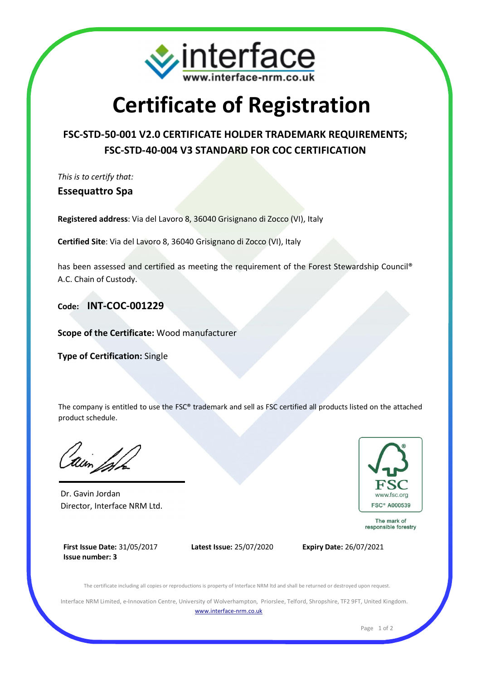

## **Certificate of Registration**

## **FSC-STD-50-001 V2.0 CERTIFICATE HOLDER TRADEMARK REQUIREMENTS; FSC-STD-40-004 V3 STANDARD FOR COC CERTIFICATION**

*This is to certify that:*

**Essequattro Spa**

**Registered address**: Via del Lavoro 8, 36040 Grisignano di Zocco (VI), Italy

**Certified Site**: Via del Lavoro 8, 36040 Grisignano di Zocco (VI), Italy

has been assessed and certified as meeting the requirement of the Forest Stewardship Council® A.C. Chain of Custody.

**Code: INT-COC-001229**

**Scope of the Certificate:** Wood manufacturer

**Type of Certification:** Single

The company is entitled to use the FSC® trademark and sell as FSC certified all products listed on the attached product schedule.

Dr. Gavin Jordan Director, Interface NRM Ltd.



The mark of responsible forestry

**First Issue Date:** 31/05/2017 **Issue number: 3**



The certificate including all copies or reproductions is property of Interface NRM ltd and shall be returned or destroyed upon request.

Interface NRM Limited, e-Innovation Centre, University of Wolverhampton, Priorslee, Telford, Shropshire, TF2 9FT, United Kingdom. www.interface-nrm.co.uk